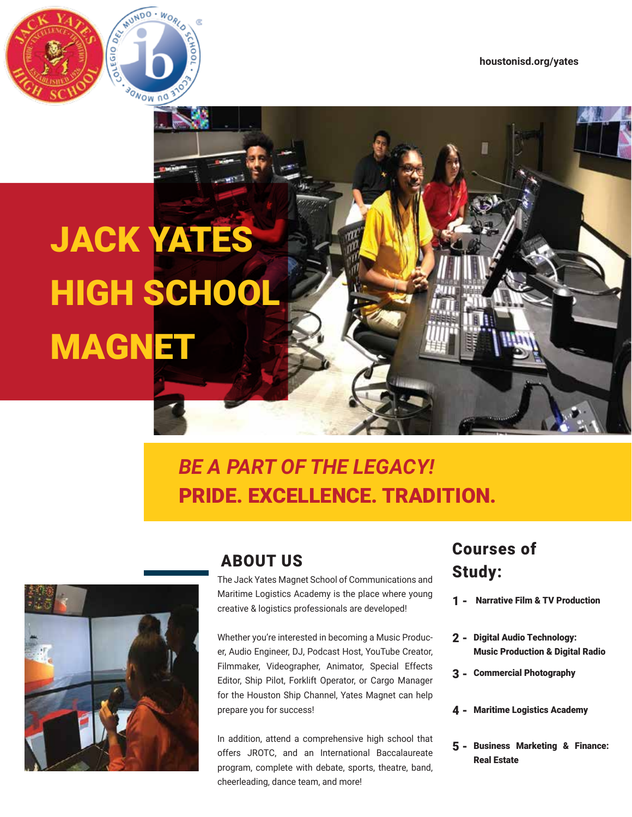

**UNDO** 

**SONOW NO** 

**WORL** 

# *BE A PART OF THE LEGACY!* PRIDE. EXCELLENCE. TRADITION.



### ABOUT US

The Jack Yates Magnet School of Communications and Maritime Logistics Academy is the place where young creative & logistics professionals are developed!

Whether you're interested in becoming a Music Producer, Audio Engineer, DJ, Podcast Host, YouTube Creator, Filmmaker, Videographer, Animator, Special Effects Editor, Ship Pilot, Forklift Operator, or Cargo Manager for the Houston Ship Channel, Yates Magnet can help prepare you for success!

In addition, attend a comprehensive high school that offers JROTC, and an International Baccalaureate program, complete with debate, sports, theatre, band, cheerleading, dance team, and more!

## Courses of Study:

- 1 Narrative Film & TV Production
- 2 Digital Audio Technology: Music Production & Digital Radio
- 3 Commercial Photography
- 4 Maritime Logistics Academy
- Business Marketing & Finance: 5 -Real Estate